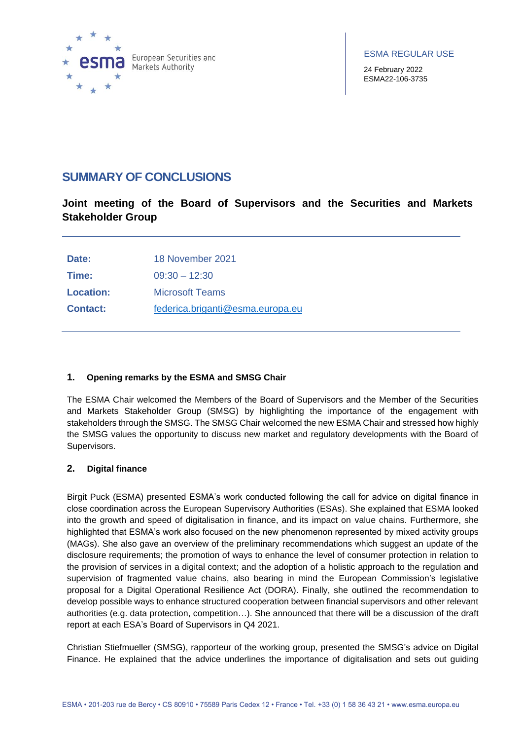

24 February 2022 ESMA22-106-3735

# **SUMMARY OF CONCLUSIONS**

**Joint meeting of the Board of Supervisors and the Securities and Markets Stakeholder Group**

| Date:           | 18 November 2021                 |
|-----------------|----------------------------------|
| Time:           | $09:30 - 12:30$                  |
| Location:       | Microsoft Teams                  |
| <b>Contact:</b> | federica.briganti@esma.europa.eu |

## **1. Opening remarks by the ESMA and SMSG Chair**

The ESMA Chair welcomed the Members of the Board of Supervisors and the Member of the Securities and Markets Stakeholder Group (SMSG) by highlighting the importance of the engagement with stakeholders through the SMSG. The SMSG Chair welcomed the new ESMA Chair and stressed how highly the SMSG values the opportunity to discuss new market and regulatory developments with the Board of Supervisors.

## **2. Digital finance**

Birgit Puck (ESMA) presented ESMA's work conducted following the call for advice on digital finance in close coordination across the European Supervisory Authorities (ESAs). She explained that ESMA looked into the growth and speed of digitalisation in finance, and its impact on value chains. Furthermore, she highlighted that ESMA's work also focused on the new phenomenon represented by mixed activity groups (MAGs). She also gave an overview of the preliminary recommendations which suggest an update of the disclosure requirements; the promotion of ways to enhance the level of consumer protection in relation to the provision of services in a digital context; and the adoption of a holistic approach to the regulation and supervision of fragmented value chains, also bearing in mind the European Commission's legislative proposal for a Digital Operational Resilience Act (DORA). Finally, she outlined the recommendation to develop possible ways to enhance structured cooperation between financial supervisors and other relevant authorities (e.g. data protection, competition…). She announced that there will be a discussion of the draft report at each ESA's Board of Supervisors in Q4 2021.

Christian Stiefmueller (SMSG), rapporteur of the working group, presented the SMSG's advice on Digital Finance. He explained that the advice underlines the importance of digitalisation and sets out guiding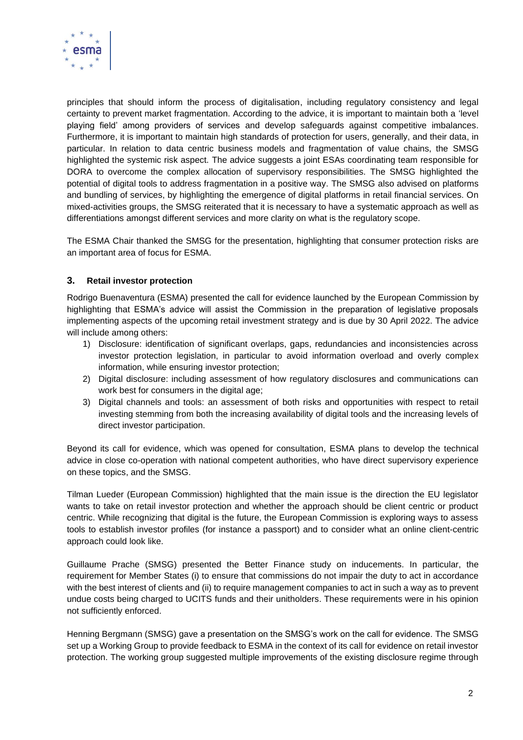

principles that should inform the process of digitalisation, including regulatory consistency and legal certainty to prevent market fragmentation. According to the advice, it is important to maintain both a 'level playing field' among providers of services and develop safeguards against competitive imbalances. Furthermore, it is important to maintain high standards of protection for users, generally, and their data, in particular. In relation to data centric business models and fragmentation of value chains, the SMSG highlighted the systemic risk aspect. The advice suggests a joint ESAs coordinating team responsible for DORA to overcome the complex allocation of supervisory responsibilities. The SMSG highlighted the potential of digital tools to address fragmentation in a positive way. The SMSG also advised on platforms and bundling of services, by highlighting the emergence of digital platforms in retail financial services. On mixed-activities groups, the SMSG reiterated that it is necessary to have a systematic approach as well as differentiations amongst different services and more clarity on what is the regulatory scope.

The ESMA Chair thanked the SMSG for the presentation, highlighting that consumer protection risks are an important area of focus for ESMA.

## **3. Retail investor protection**

Rodrigo Buenaventura (ESMA) presented the call for evidence launched by the European Commission by highlighting that ESMA's advice will assist the Commission in the preparation of legislative proposals implementing aspects of the upcoming retail investment strategy and is due by 30 April 2022. The advice will include among others:

- 1) Disclosure: identification of significant overlaps, gaps, redundancies and inconsistencies across investor protection legislation, in particular to avoid information overload and overly complex information, while ensuring investor protection;
- 2) Digital disclosure: including assessment of how regulatory disclosures and communications can work best for consumers in the digital age:
- 3) Digital channels and tools: an assessment of both risks and opportunities with respect to retail investing stemming from both the increasing availability of digital tools and the increasing levels of direct investor participation.

Beyond its call for evidence, which was opened for consultation, ESMA plans to develop the technical advice in close co-operation with national competent authorities, who have direct supervisory experience on these topics, and the SMSG.

Tilman Lueder (European Commission) highlighted that the main issue is the direction the EU legislator wants to take on retail investor protection and whether the approach should be client centric or product centric. While recognizing that digital is the future, the European Commission is exploring ways to assess tools to establish investor profiles (for instance a passport) and to consider what an online client-centric approach could look like.

Guillaume Prache (SMSG) presented the Better Finance study on inducements. In particular, the requirement for Member States (i) to ensure that commissions do not impair the duty to act in accordance with the best interest of clients and (ii) to require management companies to act in such a way as to prevent undue costs being charged to UCITS funds and their unitholders. These requirements were in his opinion not sufficiently enforced.

Henning Bergmann (SMSG) gave a presentation on the SMSG's work on the call for evidence. The SMSG set up a Working Group to provide feedback to ESMA in the context of its call for evidence on retail investor protection. The working group suggested multiple improvements of the existing disclosure regime through